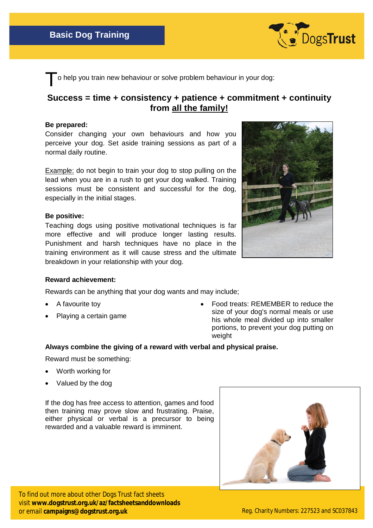

To help you train new behaviour or solve problem behaviour in your dog:

# **Success = time + consistency + patience + commitment + continuity from all the family!**

#### **Be prepared:**

Consider changing your own behaviours and how you perceive your dog. Set aside training sessions as part of a normal daily routine.

Example: do not begin to train your dog to stop pulling on the lead when you are in a rush to get your dog walked. Training sessions must be consistent and successful for the dog, especially in the initial stages.

### **Be positive:**

Teaching dogs using positive motivational techniques is far more effective and will produce longer lasting results. Punishment and harsh techniques have no place in the training environment as it will cause stress and the ultimate breakdown in your relationship with your dog.



#### **Reward achievement:**

Rewards can be anything that your dog wants and may include;

- A favourite toy
- Playing a certain game

 Food treats: REMEMBER to reduce the size of your dog's normal meals or use his whole meal divided up into smaller portions, to prevent your dog putting on weight

## **Always combine the giving of a reward with verbal and physical praise.**

Reward must be something:

- Worth working for
- Valued by the dog

If the dog has free access to attention, games and food then training may prove slow and frustrating. Praise, either physical or verbal is a precursor to being rewarded and a valuable reward is imminent.



To find out more about other Dogs Trust fact sheets visit **www.dogstrust.org.uk/az/factsheetsanddownloads** or email **campaigns@dogstrust.org.uk** Reg. Charity Numbers: 227523 and SC037843